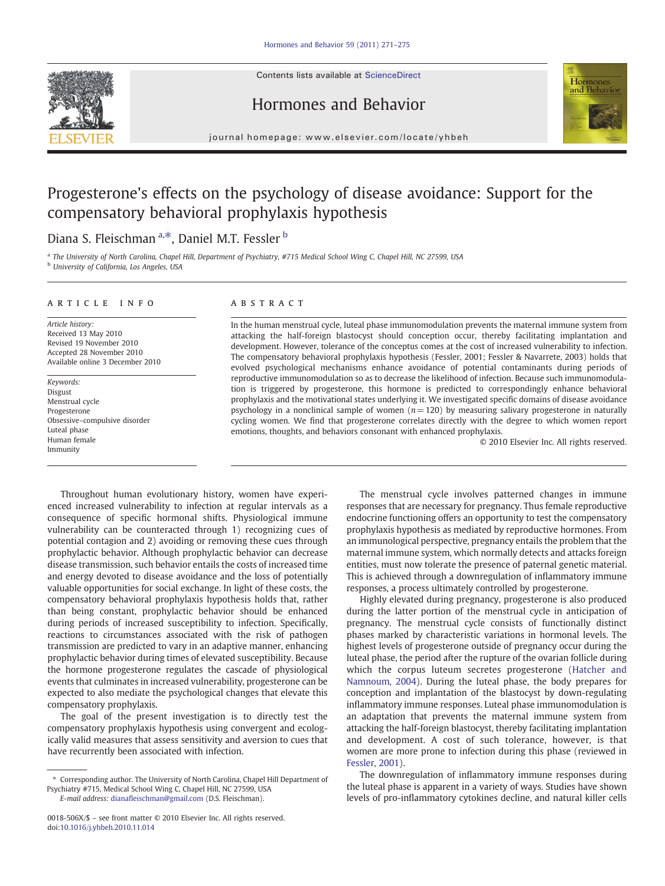Contents lists available at ScienceDirect







journal homepage: www.elsevier.com/locate/yhbeh

# Progesterone's effects on the psychology of disease avoidance: Support for the compensatory behavioral prophylaxis hypothesis

## Diana S. Fleischman <sup>a,\*</sup>, Daniel M.T. Fessler <sup>b</sup>

a The University of North Carolina, Chapel Hill, Department of Psychiatry, #715 Medical School Wing C, Chapel Hill, NC 27599, USA <sup>b</sup> University of California, Los Angeles, USA

#### article info abstract

Article history: Received 13 May 2010 Revised 19 November 2010 Accepted 28 November 2010 Available online 3 December 2010

Keywords: Disgust Menstrual cycle Progesterone Obsessive–compulsive disorder Luteal phase Human female Immunity

In the human menstrual cycle, luteal phase immunomodulation prevents the maternal immune system from attacking the half-foreign blastocyst should conception occur, thereby facilitating implantation and development. However, tolerance of the conceptus comes at the cost of increased vulnerability to infection. The compensatory behavioral prophylaxis hypothesis (Fessler, 2001; Fessler & Navarrete, 2003) holds that evolved psychological mechanisms enhance avoidance of potential contaminants during periods of reproductive immunomodulation so as to decrease the likelihood of infection. Because such immunomodulation is triggered by progesterone, this hormone is predicted to correspondingly enhance behavioral prophylaxis and the motivational states underlying it. We investigated specific domains of disease avoidance psychology in a nonclinical sample of women  $(n= 120)$  by measuring salivary progesterone in naturally cycling women. We find that progesterone correlates directly with the degree to which women report emotions, thoughts, and behaviors consonant with enhanced prophylaxis.

© 2010 Elsevier Inc. All rights reserved.

Throughout human evolutionary history, women have experienced increased vulnerability to infection at regular intervals as a consequence of specific hormonal shifts. Physiological immune vulnerability can be counteracted through 1) recognizing cues of potential contagion and 2) avoiding or removing these cues through prophylactic behavior. Although prophylactic behavior can decrease disease transmission, such behavior entails the costs of increased time and energy devoted to disease avoidance and the loss of potentially valuable opportunities for social exchange. In light of these costs, the compensatory behavioral prophylaxis hypothesis holds that, rather than being constant, prophylactic behavior should be enhanced during periods of increased susceptibility to infection. Specifically, reactions to circumstances associated with the risk of pathogen transmission are predicted to vary in an adaptive manner, enhancing prophylactic behavior during times of elevated susceptibility. Because the hormone progesterone regulates the cascade of physiological events that culminates in increased vulnerability, progesterone can be expected to also mediate the psychological changes that elevate this compensatory prophylaxis.

The goal of the present investigation is to directly test the compensatory prophylaxis hypothesis using convergent and ecologically valid measures that assess sensitivity and aversion to cues that have recurrently been associated with infection.

E-mail address: dianafl[eischman@gmail.com](mailto:dianafleischman@gmail.com) (D.S. Fleischman).

The menstrual cycle involves patterned changes in immune responses that are necessary for pregnancy. Thus female reproductive endocrine functioning offers an opportunity to test the compensatory prophylaxis hypothesis as mediated by reproductive hormones. From an immunological perspective, pregnancy entails the problem that the maternal immune system, which normally detects and attacks foreign entities, must now tolerate the presence of paternal genetic material. This is achieved through a downregulation of inflammatory immune responses, a process ultimately controlled by progesterone.

Highly elevated during pregnancy, progesterone is also produced during the latter portion of the menstrual cycle in anticipation of pregnancy. The menstrual cycle consists of functionally distinct phases marked by characteristic variations in hormonal levels. The highest levels of progesterone outside of pregnancy occur during the luteal phase, the period after the rupture of the ovarian follicle during which the corpus luteum secretes progesterone ([Hatcher and](#page-4-0) [Namnoum, 2004\)](#page-4-0). During the luteal phase, the body prepares for conception and implantation of the blastocyst by down-regulating inflammatory immune responses. Luteal phase immunomodulation is an adaptation that prevents the maternal immune system from attacking the half-foreign blastocyst, thereby facilitating implantation and development. A cost of such tolerance, however, is that women are more prone to infection during this phase (reviewed in [Fessler, 2001\)](#page-4-0).

The downregulation of inflammatory immune responses during the luteal phase is apparent in a variety of ways. Studies have shown levels of pro-inflammatory cytokines decline, and natural killer cells

<sup>⁎</sup> Corresponding author. The University of North Carolina, Chapel Hill Department of Psychiatry #715, Medical School Wing C, Chapel Hill, NC 27599, USA

<sup>0018-506</sup>X/\$ – see front matter © 2010 Elsevier Inc. All rights reserved. doi:[10.1016/j.yhbeh.2010.11.014](http://dx.doi.org/10.1016/j.yhbeh.2010.11.014)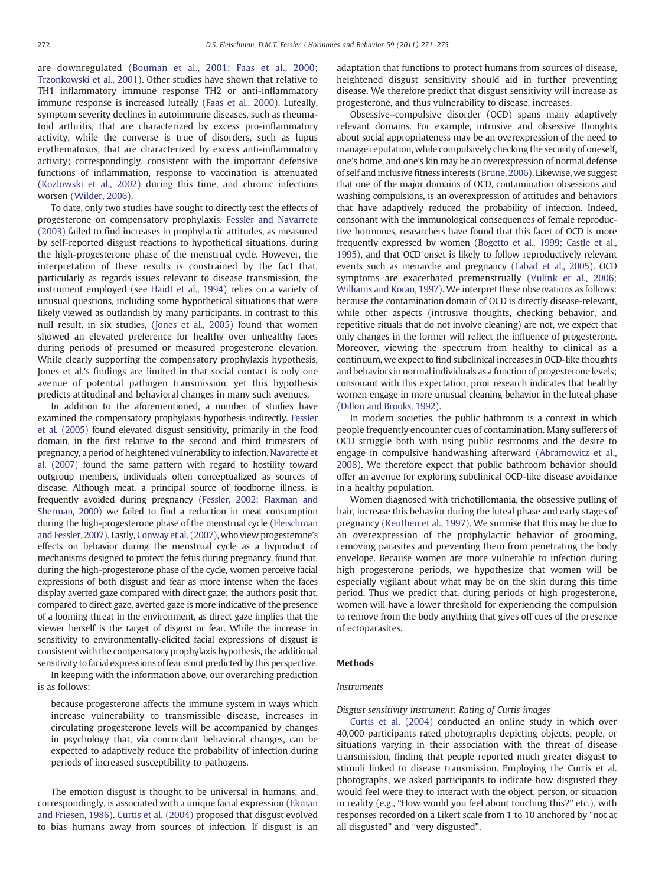are downregulated ([Bouman et al., 2001; Faas et al., 2000;](#page-4-0) [Trzonkowski et al., 2001\)](#page-4-0). Other studies have shown that relative to TH1 inflammatory immune response TH2 or anti-inflammatory immune response is increased luteally ([Faas et al., 2000\)](#page-4-0). Luteally, symptom severity declines in autoimmune diseases, such as rheumatoid arthritis, that are characterized by excess pro-inflammatory activity, while the converse is true of disorders, such as lupus erythematosus, that are characterized by excess anti-inflammatory activity; correspondingly, consistent with the important defensive functions of inflammation, response to vaccination is attenuated [\(Kozlowski et al., 2002\)](#page-4-0) during this time, and chronic infections worsen ([Wilder, 2006](#page-4-0)).

To date, only two studies have sought to directly test the effects of progesterone on compensatory prophylaxis. [Fessler and Navarrete](#page-4-0) [\(2003\)](#page-4-0) failed to find increases in prophylactic attitudes, as measured by self-reported disgust reactions to hypothetical situations, during the high-progesterone phase of the menstrual cycle. However, the interpretation of these results is constrained by the fact that, particularly as regards issues relevant to disease transmission, the instrument employed (see [Haidt et al., 1994](#page-4-0)) relies on a variety of unusual questions, including some hypothetical situations that were likely viewed as outlandish by many participants. In contrast to this null result, in six studies, [\(Jones et al., 2005\)](#page-4-0) found that women showed an elevated preference for healthy over unhealthy faces during periods of presumed or measured progesterone elevation. While clearly supporting the compensatory prophylaxis hypothesis, Jones et al.'s findings are limited in that social contact is only one avenue of potential pathogen transmission, yet this hypothesis predicts attitudinal and behavioral changes in many such avenues.

In addition to the aforementioned, a number of studies have examined the compensatory prophylaxis hypothesis indirectly. [Fessler](#page-4-0) [et al. \(2005\)](#page-4-0) found elevated disgust sensitivity, primarily in the food domain, in the first relative to the second and third trimesters of pregnancy, a period of heightened vulnerability to infection. [Navarette et](#page-4-0) [al. \(2007\)](#page-4-0) found the same pattern with regard to hostility toward outgroup members, individuals often conceptualized as sources of disease. Although meat, a principal source of foodborne illness, is frequently avoided during pregnancy [\(Fessler, 2002; Flaxman and](#page-4-0) [Sherman, 2000](#page-4-0)) we failed to find a reduction in meat consumption during the high-progesterone phase of the menstrual cycle [\(Fleischman](#page-4-0) [and Fessler, 2007\)](#page-4-0). Lastly, [Conway et al. \(2007\),](#page-4-0) who view progesterone's effects on behavior during the menstrual cycle as a byproduct of mechanisms designed to protect the fetus during pregnancy, found that, during the high-progesterone phase of the cycle, women perceive facial expressions of both disgust and fear as more intense when the faces display averted gaze compared with direct gaze; the authors posit that, compared to direct gaze, averted gaze is more indicative of the presence of a looming threat in the environment, as direct gaze implies that the viewer herself is the target of disgust or fear. While the increase in sensitivity to environmentally-elicited facial expressions of disgust is consistent with the compensatory prophylaxis hypothesis, the additional sensitivity to facial expressions of fear is not predicted by this perspective.

In keeping with the information above, our overarching prediction is as follows:

because progesterone affects the immune system in ways which increase vulnerability to transmissible disease, increases in circulating progesterone levels will be accompanied by changes in psychology that, via concordant behavioral changes, can be expected to adaptively reduce the probability of infection during periods of increased susceptibility to pathogens.

The emotion disgust is thought to be universal in humans, and, correspondingly, is associated with a unique facial expression ([Ekman](#page-4-0) [and Friesen, 1986\)](#page-4-0). [Curtis et al. \(2004\)](#page-4-0) proposed that disgust evolved to bias humans away from sources of infection. If disgust is an adaptation that functions to protect humans from sources of disease, heightened disgust sensitivity should aid in further preventing disease. We therefore predict that disgust sensitivity will increase as progesterone, and thus vulnerability to disease, increases.

Obsessive–compulsive disorder (OCD) spans many adaptively relevant domains. For example, intrusive and obsessive thoughts about social appropriateness may be an overexpression of the need to manage reputation, while compulsively checking the security of oneself, one's home, and one's kin may be an overexpression of normal defense of self and inclusive fitness interests [\(Brune, 2006](#page-4-0)). Likewise, we suggest that one of the major domains of OCD, contamination obsessions and washing compulsions, is an overexpression of attitudes and behaviors that have adaptively reduced the probability of infection. Indeed, consonant with the immunological consequences of female reproductive hormones, researchers have found that this facet of OCD is more frequently expressed by women [\(Bogetto et al., 1999; Castle et al.,](#page-4-0) [1995\)](#page-4-0), and that OCD onset is likely to follow reproductively relevant events such as menarche and pregnancy [\(Labad et al., 2005\)](#page-4-0). OCD symptoms are exacerbated premenstrually ([Vulink et al., 2006;](#page-4-0) [Williams and Koran, 1997\)](#page-4-0). We interpret these observations as follows: because the contamination domain of OCD is directly disease-relevant, while other aspects (intrusive thoughts, checking behavior, and repetitive rituals that do not involve cleaning) are not, we expect that only changes in the former will reflect the influence of progesterone. Moreover, viewing the spectrum from healthy to clinical as a continuum, we expect to find subclinical increases in OCD-like thoughts and behaviors in normal individuals as a function of progesterone levels; consonant with this expectation, prior research indicates that healthy women engage in more unusual cleaning behavior in the luteal phase [\(Dillon and Brooks, 1992](#page-4-0)).

In modern societies, the public bathroom is a context in which people frequently encounter cues of contamination. Many sufferers of OCD struggle both with using public restrooms and the desire to engage in compulsive handwashing afterward [\(Abramowitz et al.,](#page-4-0) [2008\)](#page-4-0). We therefore expect that public bathroom behavior should offer an avenue for exploring subclinical OCD-like disease avoidance in a healthy population.

Women diagnosed with trichotillomania, the obsessive pulling of hair, increase this behavior during the luteal phase and early stages of pregnancy [\(Keuthen et al., 1997](#page-4-0)). We surmise that this may be due to an overexpression of the prophylactic behavior of grooming, removing parasites and preventing them from penetrating the body envelope. Because women are more vulnerable to infection during high progesterone periods, we hypothesize that women will be especially vigilant about what may be on the skin during this time period. Thus we predict that, during periods of high progesterone, women will have a lower threshold for experiencing the compulsion to remove from the body anything that gives off cues of the presence of ectoparasites.

#### **Methods**

#### Instruments

Disgust sensitivity instrument: Rating of Curtis images

[Curtis et al. \(2004\)](#page-4-0) conducted an online study in which over 40,000 participants rated photographs depicting objects, people, or situations varying in their association with the threat of disease transmission, finding that people reported much greater disgust to stimuli linked to disease transmission. Employing the Curtis et al. photographs, we asked participants to indicate how disgusted they would feel were they to interact with the object, person, or situation in reality (e.g., "How would you feel about touching this?" etc.), with responses recorded on a Likert scale from 1 to 10 anchored by "not at all disgusted" and "very disgusted".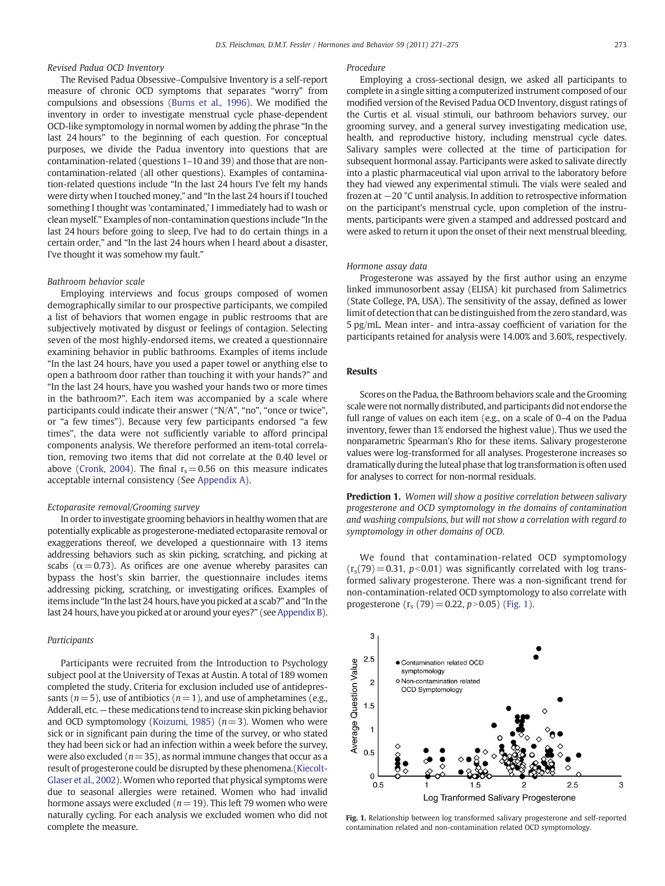### Revised Padua OCD Inventory

The Revised Padua Obsessive–Compulsive Inventory is a self-report measure of chronic OCD symptoms that separates "worry" from compulsions and obsessions ([Burns et al., 1996\)](#page-4-0). We modified the inventory in order to investigate menstrual cycle phase-dependent OCD-like symptomology in normal women by adding the phrase "In the last 24 hours" to the beginning of each question. For conceptual purposes, we divide the Padua inventory into questions that are contamination-related (questions 1–10 and 39) and those that are noncontamination-related (all other questions). Examples of contamination-related questions include "In the last 24 hours I've felt my hands were dirty when I touched money," and "In the last 24 hours if I touched something I thought was 'contaminated,' I immediately had to wash or clean myself." Examples of non-contamination questions include "In the last 24 hours before going to sleep, I've had to do certain things in a certain order," and "In the last 24 hours when I heard about a disaster, I've thought it was somehow my fault."

#### Bathroom behavior scale

Employing interviews and focus groups composed of women demographically similar to our prospective participants, we compiled a list of behaviors that women engage in public restrooms that are subjectively motivated by disgust or feelings of contagion. Selecting seven of the most highly-endorsed items, we created a questionnaire examining behavior in public bathrooms. Examples of items include "In the last 24 hours, have you used a paper towel or anything else to open a bathroom door rather than touching it with your hands?" and "In the last 24 hours, have you washed your hands two or more times in the bathroom?". Each item was accompanied by a scale where participants could indicate their answer ("N/A", "no", "once or twice", or "a few times"). Because very few participants endorsed "a few times", the data were not sufficiently variable to afford principal components analysis. We therefore performed an item-total correlation, removing two items that did not correlate at the 0.40 level or above [\(Cronk, 2004](#page-4-0)). The final  $r_s = 0.56$  on this measure indicates acceptable internal consistency (See [Appendix A\)](#page-4-0).

#### Ectoparasite removal/Grooming survey

In order to investigate grooming behaviors in healthy women that are potentially explicable as progesterone-mediated ectoparasite removal or exaggerations thereof, we developed a questionnaire with 13 items addressing behaviors such as skin picking, scratching, and picking at scabs ( $\alpha$  = 0.73). As orifices are one avenue whereby parasites can bypass the host's skin barrier, the questionnaire includes items addressing picking, scratching, or investigating orifices. Examples of items include "In the last 24 hours, have you picked at a scab?" and "In the last 24 hours, have you picked at or around your eyes?" (see [Appendix B](#page-4-0)).

#### Participants

Participants were recruited from the Introduction to Psychology subject pool at the University of Texas at Austin. A total of 189 women completed the study. Criteria for exclusion included use of antidepressants ( $n=5$ ), use of antibiotics ( $n=1$ ), and use of amphetamines (e.g., Adderall, etc. — these medications tend to increase skin picking behavior and OCD symptomology [\(Koizumi, 1985\)](#page-4-0) ( $n=3$ ). Women who were sick or in significant pain during the time of the survey, or who stated they had been sick or had an infection within a week before the survey, were also excluded ( $n=35$ ), as normal immune changes that occur as a result of progesterone could be disrupted by these phenomena.[\(Kiecolt-](#page-4-0)[Glaser et al., 2002\)](#page-4-0).Women who reported that physical symptoms were due to seasonal allergies were retained. Women who had invalid hormone assays were excluded ( $n=19$ ). This left 79 women who were naturally cycling. For each analysis we excluded women who did not complete the measure.

#### Procedure

Employing a cross-sectional design, we asked all participants to complete in a single sitting a computerized instrument composed of our modified version of the Revised Padua OCD Inventory, disgust ratings of the Curtis et al. visual stimuli, our bathroom behaviors survey, our grooming survey, and a general survey investigating medication use, health, and reproductive history, including menstrual cycle dates. Salivary samples were collected at the time of participation for subsequent hormonal assay. Participants were asked to salivate directly into a plastic pharmaceutical vial upon arrival to the laboratory before they had viewed any experimental stimuli. The vials were sealed and frozen at −20 °C until analysis. In addition to retrospective information on the participant's menstrual cycle, upon completion of the instruments, participants were given a stamped and addressed postcard and were asked to return it upon the onset of their next menstrual bleeding.

#### Hormone assay data

Progesterone was assayed by the first author using an enzyme linked immunosorbent assay (ELISA) kit purchased from Salimetrics (State College, PA, USA). The sensitivity of the assay, defined as lower limit of detection that can be distinguished from the zero standard, was 5 pg/mL. Mean inter- and intra-assay coefficient of variation for the participants retained for analysis were 14.00% and 3.60%, respectively.

#### Results

Scores on the Padua, the Bathroom behaviors scale and the Grooming scale were not normally distributed, and participants did not endorse the full range of values on each item (e.g., on a scale of 0–4 on the Padua inventory, fewer than 1% endorsed the highest value). Thus we used the nonparametric Spearman's Rho for these items. Salivary progesterone values were log-transformed for all analyses. Progesterone increases so dramatically during the luteal phase that log transformation is often used for analyses to correct for non-normal residuals.

Prediction 1. Women will show a positive correlation between salivary progesterone and OCD symptomology in the domains of contamination and washing compulsions, but will not show a correlation with regard to symptomology in other domains of OCD.

We found that contamination-related OCD symptomology  $(r_s(79)= 0.31, p<0.01)$  was significantly correlated with log transformed salivary progesterone. There was a non-significant trend for non-contamination-related OCD symptomology to also correlate with progesterone  $(r_s (79) = 0.22, p>0.05)$  (Fig. 1).



Fig. 1. Relationship between log transformed salivary progesterone and self-reported contamination related and non-contamination related OCD symptomology.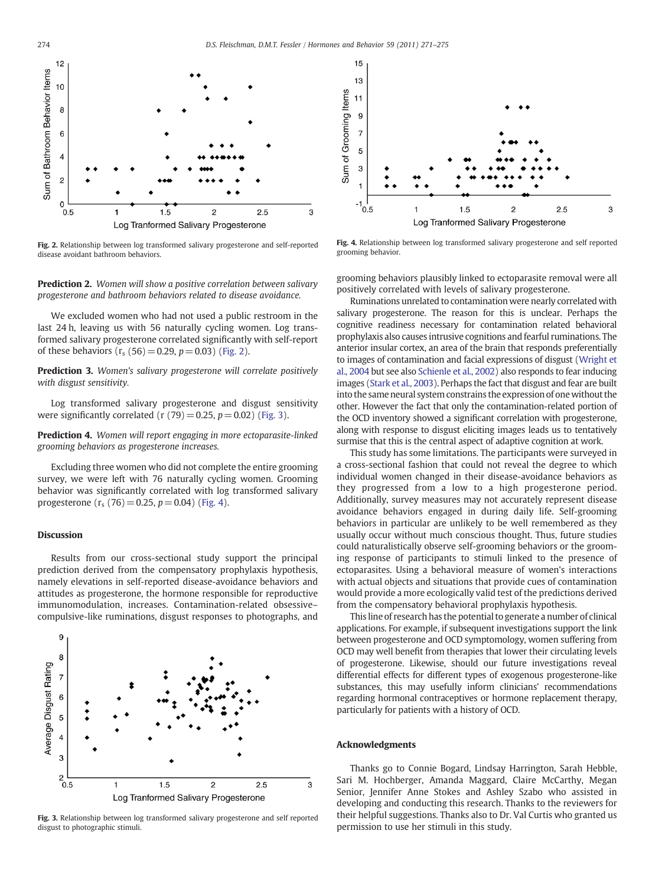

Fig. 2. Relationship between log transformed salivary progesterone and self-reported disease avoidant bathroom behaviors.

Prediction 2. Women will show a positive correlation between salivary progesterone and bathroom behaviors related to disease avoidance.

We excluded women who had not used a public restroom in the last 24 h, leaving us with 56 naturally cycling women. Log transformed salivary progesterone correlated significantly with self-report of these behaviors  $(r_s (56) = 0.29, p = 0.03)$  (Fig. 2).

Prediction 3. Women's salivary progesterone will correlate positively with disgust sensitivity.

Log transformed salivary progesterone and disgust sensitivity were significantly correlated (r  $(79) = 0.25$ ,  $p = 0.02$ ) (Fig. 3).

Prediction 4. Women will report engaging in more ectoparasite-linked grooming behaviors as progesterone increases.

Excluding three women who did not complete the entire grooming survey, we were left with 76 naturally cycling women. Grooming behavior was significantly correlated with log transformed salivary progesterone  $(r_s (76) = 0.25, p = 0.04)$  (Fig. 4).

#### Discussion

Results from our cross-sectional study support the principal prediction derived from the compensatory prophylaxis hypothesis, namely elevations in self-reported disease-avoidance behaviors and attitudes as progesterone, the hormone responsible for reproductive immunomodulation, increases. Contamination-related obsessive– compulsive-like ruminations, disgust responses to photographs, and



Fig. 3. Relationship between log transformed salivary progesterone and self reported disgust to photographic stimuli.



Fig. 4. Relationship between log transformed salivary progesterone and self reported grooming behavior.

grooming behaviors plausibly linked to ectoparasite removal were all positively correlated with levels of salivary progesterone.

Ruminations unrelated to contamination were nearly correlated with salivary progesterone. The reason for this is unclear. Perhaps the cognitive readiness necessary for contamination related behavioral prophylaxis also causes intrusive cognitions and fearful ruminations. The anterior insular cortex, an area of the brain that responds preferentially to images of contamination and facial expressions of disgust ([Wright et](#page-4-0) [al., 2004](#page-4-0) but see also [Schienle et al., 2002](#page-4-0)) also responds to fear inducing images ([Stark et al., 2003](#page-4-0)). Perhaps the fact that disgust and fear are built into the same neural system constrains the expression of one without the other. However the fact that only the contamination-related portion of the OCD inventory showed a significant correlation with progesterone, along with response to disgust eliciting images leads us to tentatively surmise that this is the central aspect of adaptive cognition at work.

This study has some limitations. The participants were surveyed in a cross-sectional fashion that could not reveal the degree to which individual women changed in their disease-avoidance behaviors as they progressed from a low to a high progesterone period. Additionally, survey measures may not accurately represent disease avoidance behaviors engaged in during daily life. Self-grooming behaviors in particular are unlikely to be well remembered as they usually occur without much conscious thought. Thus, future studies could naturalistically observe self-grooming behaviors or the grooming response of participants to stimuli linked to the presence of ectoparasites. Using a behavioral measure of women's interactions with actual objects and situations that provide cues of contamination would provide a more ecologically valid test of the predictions derived from the compensatory behavioral prophylaxis hypothesis.

This line of research has the potential to generate a number of clinical applications. For example, if subsequent investigations support the link between progesterone and OCD symptomology, women suffering from OCD may well benefit from therapies that lower their circulating levels of progesterone. Likewise, should our future investigations reveal differential effects for different types of exogenous progesterone-like substances, this may usefully inform clinicians' recommendations regarding hormonal contraceptives or hormone replacement therapy, particularly for patients with a history of OCD.

#### Acknowledgments

Thanks go to Connie Bogard, Lindsay Harrington, Sarah Hebble, Sari M. Hochberger, Amanda Maggard, Claire McCarthy, Megan Senior, Jennifer Anne Stokes and Ashley Szabo who assisted in developing and conducting this research. Thanks to the reviewers for their helpful suggestions. Thanks also to Dr. Val Curtis who granted us permission to use her stimuli in this study.